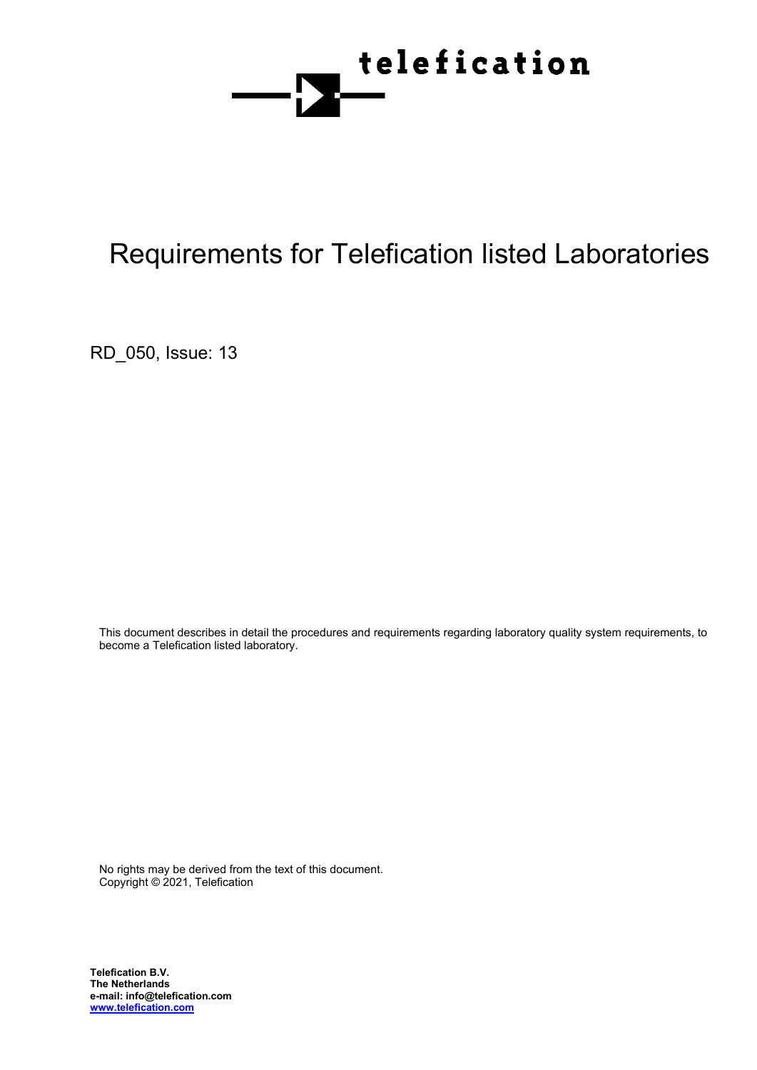

# Requirements for Telefication listed Laboratories

RD\_050, Issue: 13

This document describes in detail the procedures and requirements regarding laboratory quality system requirements, to become a Telefication listed laboratory.

No rights may be derived from the text of this document. Copyright © 2021, Telefication

**Telefication B.V. The Netherlands e-mail: info@telefication.com www.telefication.com**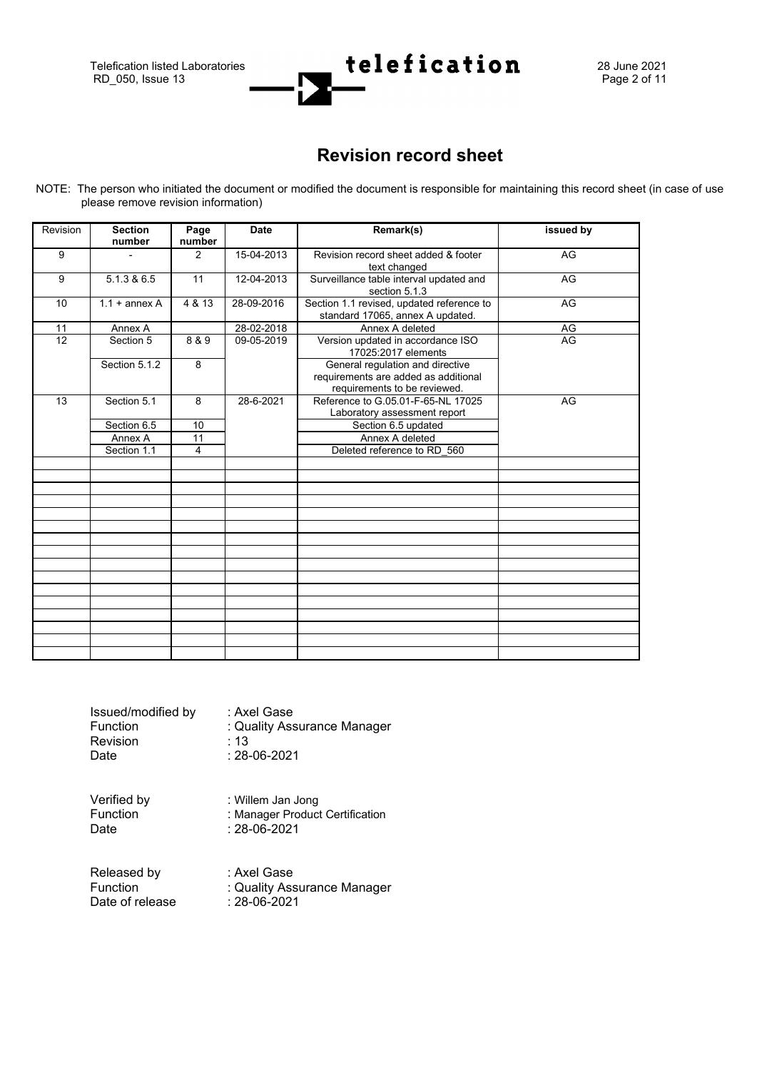Telefication listed Laboratories **telefication**  $\mathbf{28}$  June 2021<br>RD\_050, Issue 13 Page 2 of 11 RD\_050, Issue 13



## **Revision record sheet**

NOTE: The person who initiated the document or modified the document is responsible for maintaining this record sheet (in case of use please remove revision information)

| Revision        | <b>Section</b><br>number | Page<br>number  | <b>Date</b> | Remark(s)                                                                                                | issued by |
|-----------------|--------------------------|-----------------|-------------|----------------------------------------------------------------------------------------------------------|-----------|
| 9               |                          | 2               | 15-04-2013  | Revision record sheet added & footer<br>text changed                                                     | AG        |
| 9               | 5.1.3 & 6.5              | 11              | 12-04-2013  | Surveillance table interval updated and<br>section 5.1.3                                                 | AG        |
| 10              | $1.1 +$ annex A          | 4 & 13          | 28-09-2016  | Section 1.1 revised, updated reference to<br>standard 17065, annex A updated.                            | AG        |
| 11              | Annex A                  |                 | 28-02-2018  | Annex A deleted                                                                                          | AG        |
| $\overline{12}$ | Section 5                | 8 & 9           | 09-05-2019  | Version updated in accordance ISO<br>17025:2017 elements                                                 | AG        |
|                 | Section 5.1.2            | 8               |             | General regulation and directive<br>requirements are added as additional<br>requirements to be reviewed. |           |
| 13              | Section 5.1              | 8               | 28-6-2021   | Reference to G.05.01-F-65-NL 17025<br>Laboratory assessment report                                       | AG        |
|                 | Section 6.5              | 10              |             | Section 6.5 updated                                                                                      |           |
|                 | Annex A                  | $\overline{11}$ |             | Annex A deleted                                                                                          |           |
|                 | Section 1.1              | 4               |             | Deleted reference to RD 560                                                                              |           |
|                 |                          |                 |             |                                                                                                          |           |
|                 |                          |                 |             |                                                                                                          |           |
|                 |                          |                 |             |                                                                                                          |           |
|                 |                          |                 |             |                                                                                                          |           |
|                 |                          |                 |             |                                                                                                          |           |
|                 |                          |                 |             |                                                                                                          |           |
|                 |                          |                 |             |                                                                                                          |           |
|                 |                          |                 |             |                                                                                                          |           |
|                 |                          |                 |             |                                                                                                          |           |
|                 |                          |                 |             |                                                                                                          |           |
|                 |                          |                 |             |                                                                                                          |           |
|                 |                          |                 |             |                                                                                                          |           |
|                 |                          |                 |             |                                                                                                          |           |

| Issued/modified by | : Axel Gase                 |
|--------------------|-----------------------------|
| <b>Function</b>    | : Quality Assurance Manager |
| Revision           | $\cdot$ 13                  |
| Date               | $: 28 - 06 - 2021$          |

Verified by : Willem Jan Jong<br>Function : Manager Product Function : Manager Product Certification<br>Date : 28-06-2021  $: 28 - 06 - 2021$ 

Released by : Axel Gase<br>
Function : Quality Ass Date of release

: Quality Assurance Manager<br>: 28-06-2021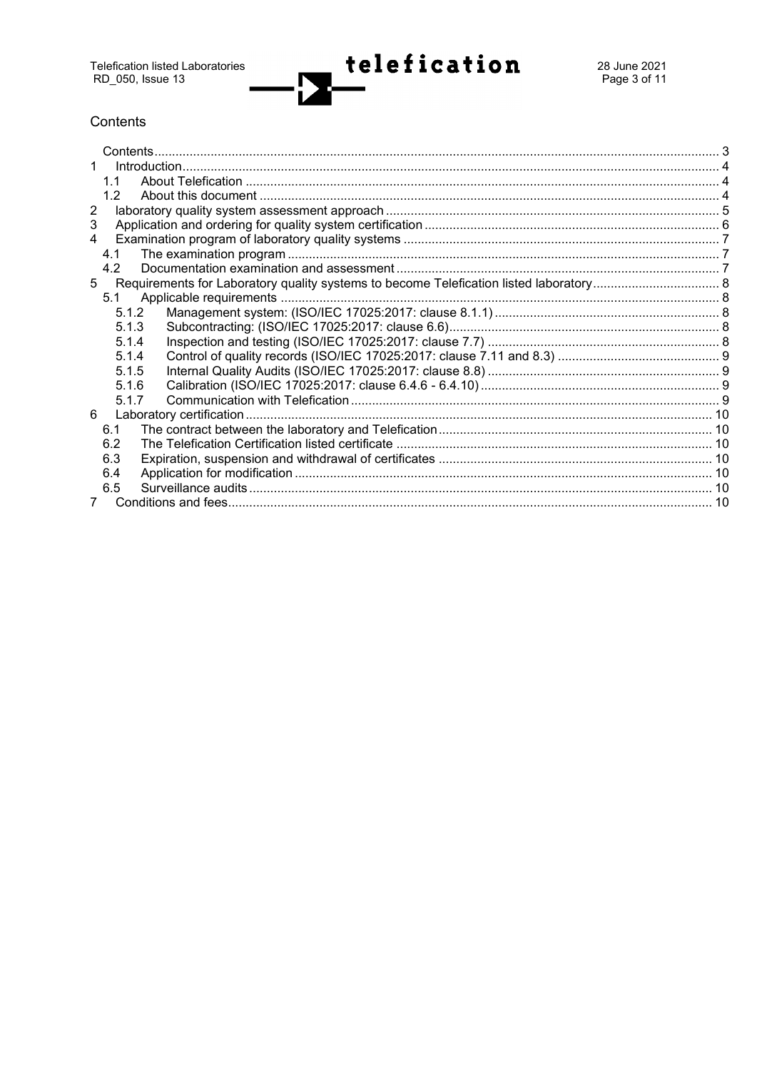## <span id="page-2-0"></span>Contents

| 11             |  |  |  |  |
|----------------|--|--|--|--|
| 1.2            |  |  |  |  |
| $\overline{2}$ |  |  |  |  |
| 3              |  |  |  |  |
| $\overline{4}$ |  |  |  |  |
| 4.1            |  |  |  |  |
| 4.2            |  |  |  |  |
| 5              |  |  |  |  |
| 5.1            |  |  |  |  |
| 5.1.2          |  |  |  |  |
| 5.1.3          |  |  |  |  |
| 5.1.4          |  |  |  |  |
| 5.1.4          |  |  |  |  |
| 5.1.5          |  |  |  |  |
| 5.1.6          |  |  |  |  |
| 5.1.7          |  |  |  |  |
| 6              |  |  |  |  |
| 6.1            |  |  |  |  |
| 6.2            |  |  |  |  |
| 6.3            |  |  |  |  |
| 6.4            |  |  |  |  |
| 6.5            |  |  |  |  |
|                |  |  |  |  |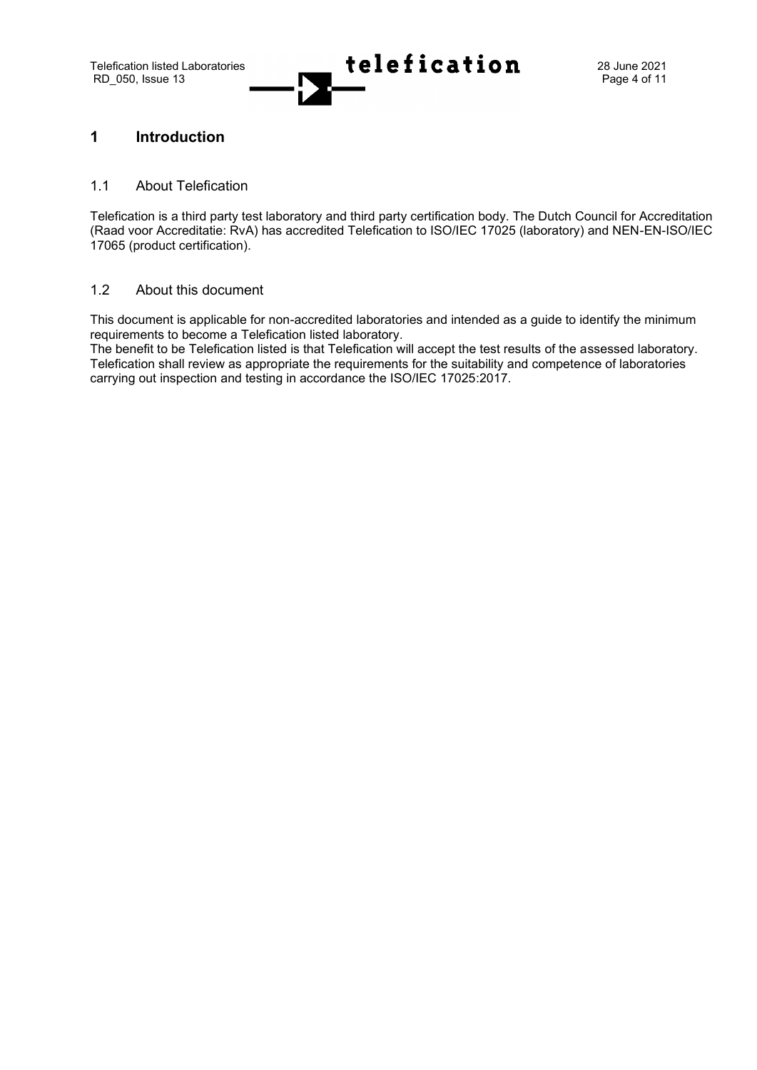Telefication listed Laboratories<br>
RD 050, Issue 13  $\overline{\text{real}}$  **telefication** 28 June 2021

## <span id="page-3-0"></span>**1 Introduction**

#### <span id="page-3-1"></span>1.1 About Telefication

Telefication is a third party test laboratory and third party certification body. The Dutch Council for Accreditation (Raad voor Accreditatie: RvA) has accredited Telefication to ISO/IEC 17025 (laboratory) and NEN-EN-ISO/IEC 17065 (product certification).

#### <span id="page-3-2"></span>1.2 About this document

This document is applicable for non-accredited laboratories and intended as a guide to identify the minimum requirements to become a Telefication listed laboratory.

The benefit to be Telefication listed is that Telefication will accept the test results of the assessed laboratory. Telefication shall review as appropriate the requirements for the suitability and competence of laboratories carrying out inspection and testing in accordance the ISO/IEC 17025:2017.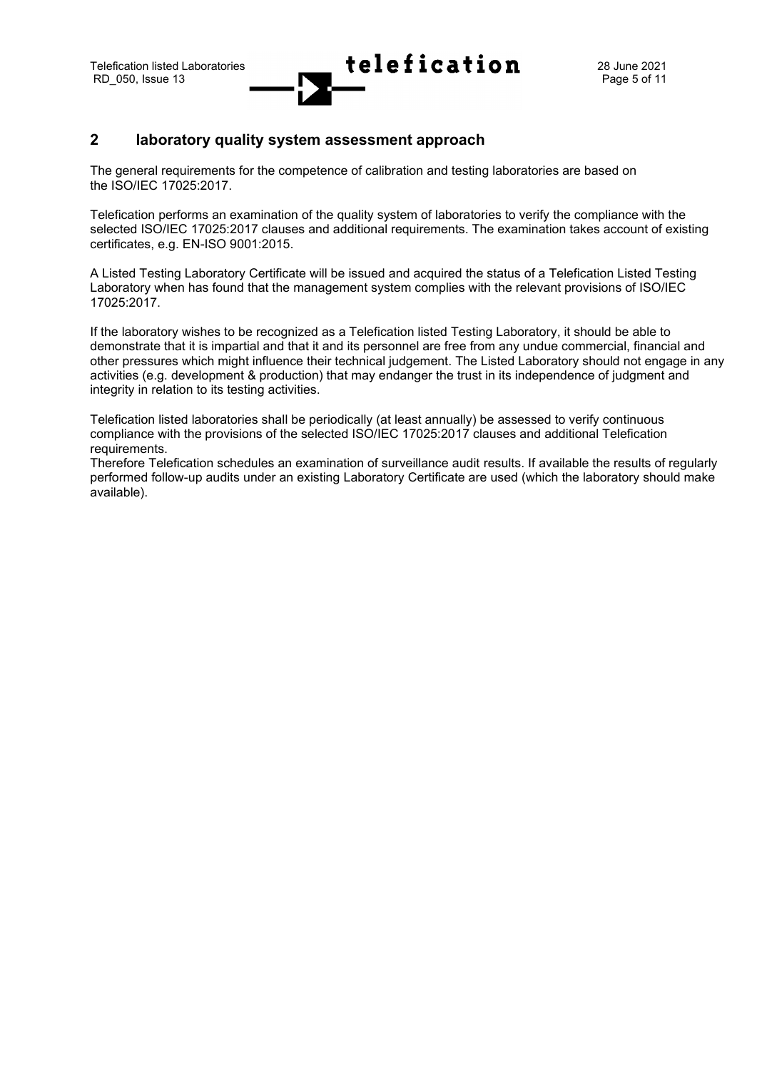## <span id="page-4-0"></span>**2 laboratory quality system assessment approach**

The general requirements for the competence of calibration and testing laboratories are based on the ISO/IEC 17025:2017.

Telefication performs an examination of the quality system of laboratories to verify the compliance with the selected ISO/IEC 17025:2017 clauses and additional requirements. The examination takes account of existing certificates, e.g. EN-ISO 9001:2015.

A Listed Testing Laboratory Certificate will be issued and acquired the status of a Telefication Listed Testing Laboratory when has found that the management system complies with the relevant provisions of ISO/IEC 17025:2017.

If the laboratory wishes to be recognized as a Telefication listed Testing Laboratory, it should be able to demonstrate that it is impartial and that it and its personnel are free from any undue commercial, financial and other pressures which might influence their technical judgement. The Listed Laboratory should not engage in any activities (e.g. development & production) that may endanger the trust in its independence of judgment and integrity in relation to its testing activities.

Telefication listed laboratories shall be periodically (at least annually) be assessed to verify continuous compliance with the provisions of the selected ISO/IEC 17025:2017 clauses and additional Telefication requirements.

Therefore Telefication schedules an examination of surveillance audit results. If available the results of regularly performed follow-up audits under an existing Laboratory Certificate are used (which the laboratory should make available).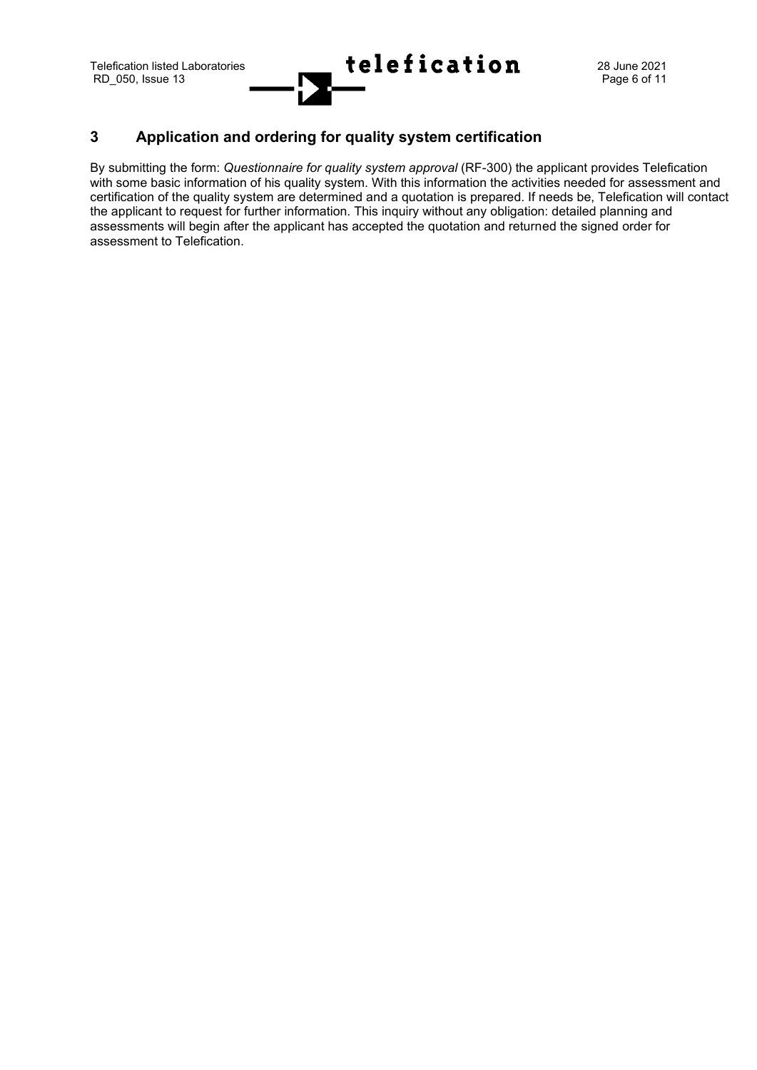## <span id="page-5-0"></span>**3 Application and ordering for quality system certification**

By submitting the form: *Questionnaire for quality system approval* (RF-300) the applicant provides Telefication with some basic information of his quality system. With this information the activities needed for assessment and certification of the quality system are determined and a quotation is prepared. If needs be, Telefication will contact the applicant to request for further information. This inquiry without any obligation: detailed planning and assessments will begin after the applicant has accepted the quotation and returned the signed order for assessment to Telefication.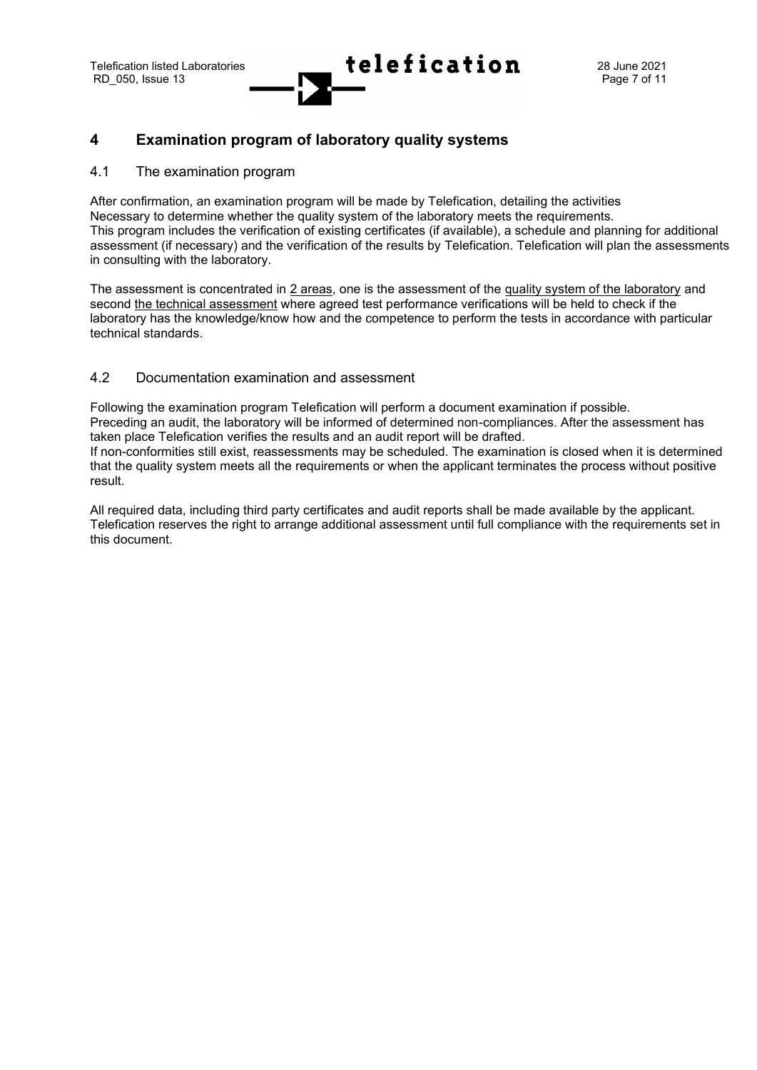## <span id="page-6-0"></span>**4 Examination program of laboratory quality systems**

#### <span id="page-6-1"></span>4.1 The examination program

After confirmation, an examination program will be made by Telefication, detailing the activities Necessary to determine whether the quality system of the laboratory meets the requirements. This program includes the verification of existing certificates (if available), a schedule and planning for additional assessment (if necessary) and the verification of the results by Telefication. Telefication will plan the assessments in consulting with the laboratory.

The assessment is concentrated in 2 areas, one is the assessment of the quality system of the laboratory and second the technical assessment where agreed test performance verifications will be held to check if the laboratory has the knowledge/know how and the competence to perform the tests in accordance with particular technical standards.

#### <span id="page-6-2"></span>4.2 Documentation examination and assessment

Following the examination program Telefication will perform a document examination if possible. Preceding an audit, the laboratory will be informed of determined non-compliances. After the assessment has taken place Telefication verifies the results and an audit report will be drafted. If non-conformities still exist, reassessments may be scheduled. The examination is closed when it is determined that the quality system meets all the requirements or when the applicant terminates the process without positive result.

All required data, including third party certificates and audit reports shall be made available by the applicant. Telefication reserves the right to arrange additional assessment until full compliance with the requirements set in this document.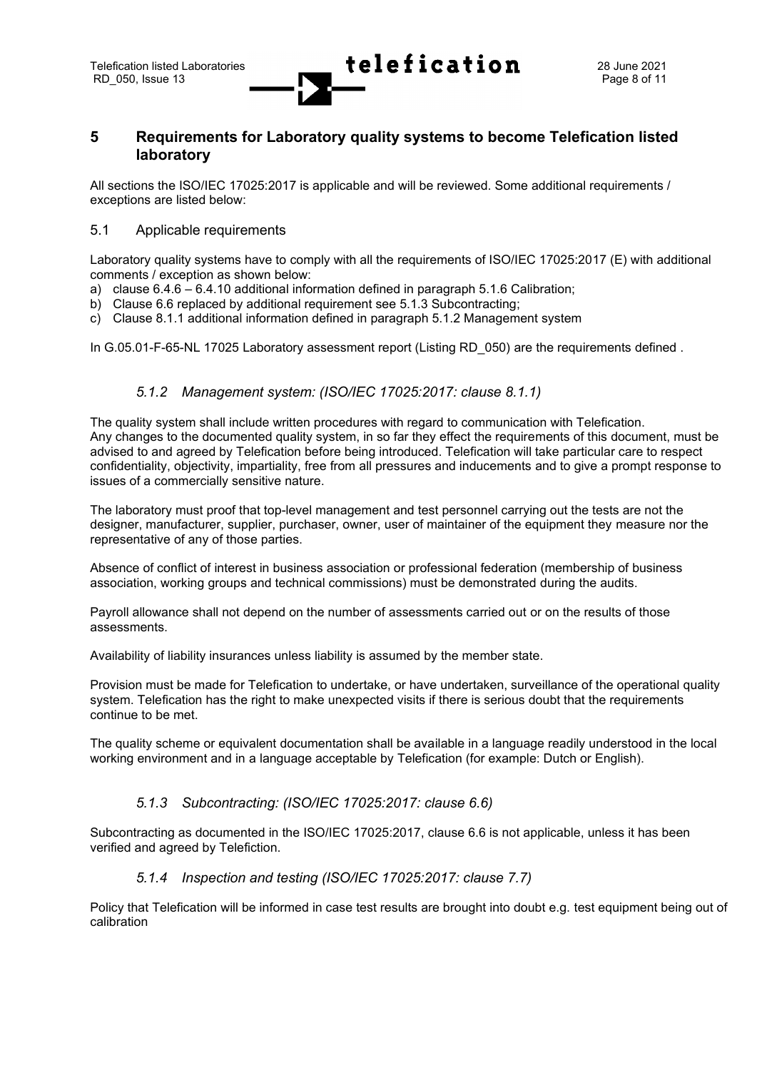## <span id="page-7-0"></span>**5 Requirements for Laboratory quality systems to become Telefication listed laboratory**

All sections the ISO/IEC 17025:2017 is applicable and will be reviewed. Some additional requirements / exceptions are listed below:

#### <span id="page-7-1"></span>5.1 Applicable requirements

RD 050, Issue 13

Laboratory quality systems have to comply with all the requirements of ISO/IEC 17025:2017 (E) with additional comments / exception as shown below:

- a) clause 6.4.6 6.4.10 additional information defined in paragraph 5.1.6 Calibration;
- b) Clause 6.6 replaced by additional requirement see 5.1.3 Subcontracting;
- c) Clause 8.1.1 additional information defined in paragraph 5.1.2 Management system

In G.05.01-F-65-NL 17025 Laboratory assessment report (Listing RD 050) are the requirements defined .

## *5.1.2 Management system: (ISO/IEC 17025:2017: clause 8.1.1)*

<span id="page-7-2"></span>The quality system shall include written procedures with regard to communication with Telefication. Any changes to the documented quality system, in so far they effect the requirements of this document, must be advised to and agreed by Telefication before being introduced. Telefication will take particular care to respect confidentiality, objectivity, impartiality, free from all pressures and inducements and to give a prompt response to issues of a commercially sensitive nature.

The laboratory must proof that top-level management and test personnel carrying out the tests are not the designer, manufacturer, supplier, purchaser, owner, user of maintainer of the equipment they measure nor the representative of any of those parties.

Absence of conflict of interest in business association or professional federation (membership of business association, working groups and technical commissions) must be demonstrated during the audits.

Payroll allowance shall not depend on the number of assessments carried out or on the results of those assessments.

Availability of liability insurances unless liability is assumed by the member state.

Provision must be made for Telefication to undertake, or have undertaken, surveillance of the operational quality system. Telefication has the right to make unexpected visits if there is serious doubt that the requirements continue to be met.

The quality scheme or equivalent documentation shall be available in a language readily understood in the local working environment and in a language acceptable by Telefication (for example: Dutch or English).

#### *5.1.3 Subcontracting: (ISO/IEC 17025:2017: clause 6.6)*

<span id="page-7-3"></span>Subcontracting as documented in the ISO/IEC 17025:2017, clause 6.6 is not applicable, unless it has been verified and agreed by Telefiction.

#### *5.1.4 Inspection and testing (ISO/IEC 17025:2017: clause 7.7)*

<span id="page-7-4"></span>Policy that Telefication will be informed in case test results are brought into doubt e.g. test equipment being out of calibration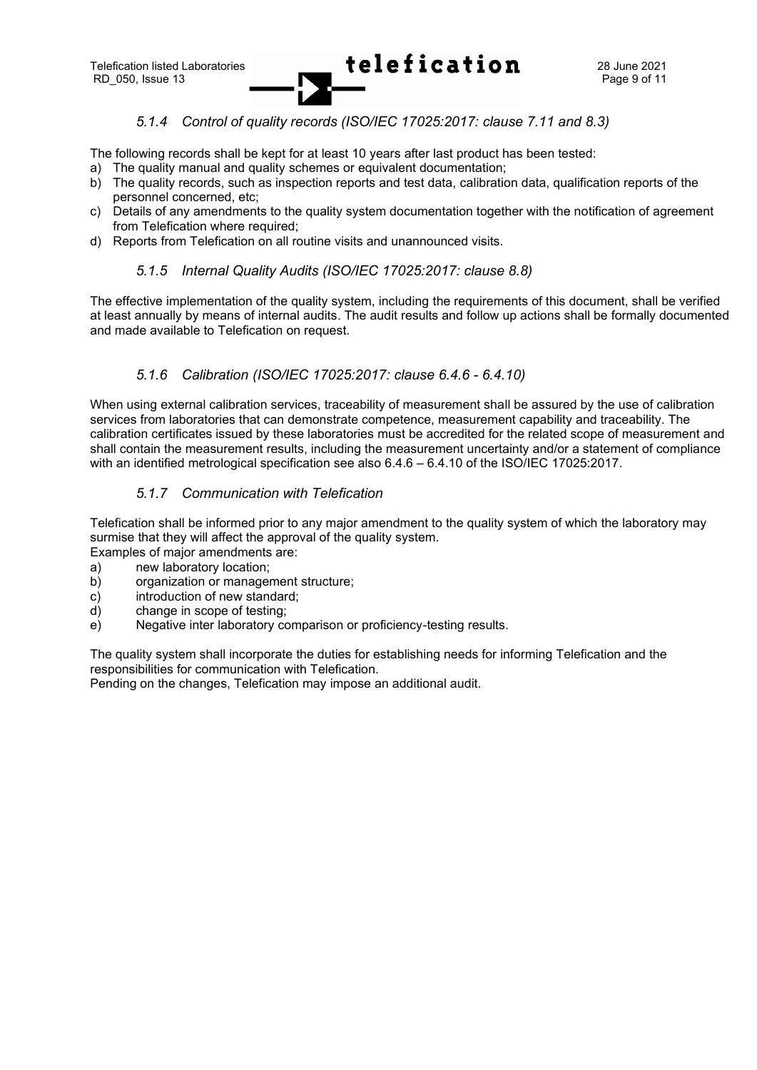## *5.1.4 Control of quality records (ISO/IEC 17025:2017: clause 7.11 and 8.3)*

<span id="page-8-0"></span>The following records shall be kept for at least 10 years after last product has been tested:

- a) The quality manual and quality schemes or equivalent documentation;
- b) The quality records, such as inspection reports and test data, calibration data, qualification reports of the personnel concerned, etc;
- c) Details of any amendments to the quality system documentation together with the notification of agreement from Telefication where required;
- <span id="page-8-1"></span>d) Reports from Telefication on all routine visits and unannounced visits.

#### *5.1.5 Internal Quality Audits (ISO/IEC 17025:2017: clause 8.8)*

The effective implementation of the quality system, including the requirements of this document, shall be verified at least annually by means of internal audits. The audit results and follow up actions shall be formally documented and made available to Telefication on request.

## *5.1.6 Calibration (ISO/IEC 17025:2017: clause 6.4.6 - 6.4.10)*

<span id="page-8-2"></span>When using external calibration services, traceability of measurement shall be assured by the use of calibration services from laboratories that can demonstrate competence, measurement capability and traceability. The calibration certificates issued by these laboratories must be accredited for the related scope of measurement and shall contain the measurement results, including the measurement uncertainty and/or a statement of compliance with an identified metrological specification see also 6.4.6 – 6.4.10 of the ISO/IEC 17025:2017.

## *5.1.7 Communication with Telefication*

<span id="page-8-3"></span>Telefication shall be informed prior to any major amendment to the quality system of which the laboratory may surmise that they will affect the approval of the quality system.

- Examples of major amendments are:
- a) new laboratory location;
- b) organization or management structure;
- c) introduction of new standard;
- d) change in scope of testing;
- e) Negative inter laboratory comparison or proficiency-testing results.

The quality system shall incorporate the duties for establishing needs for informing Telefication and the responsibilities for communication with Telefication.

Pending on the changes, Telefication may impose an additional audit.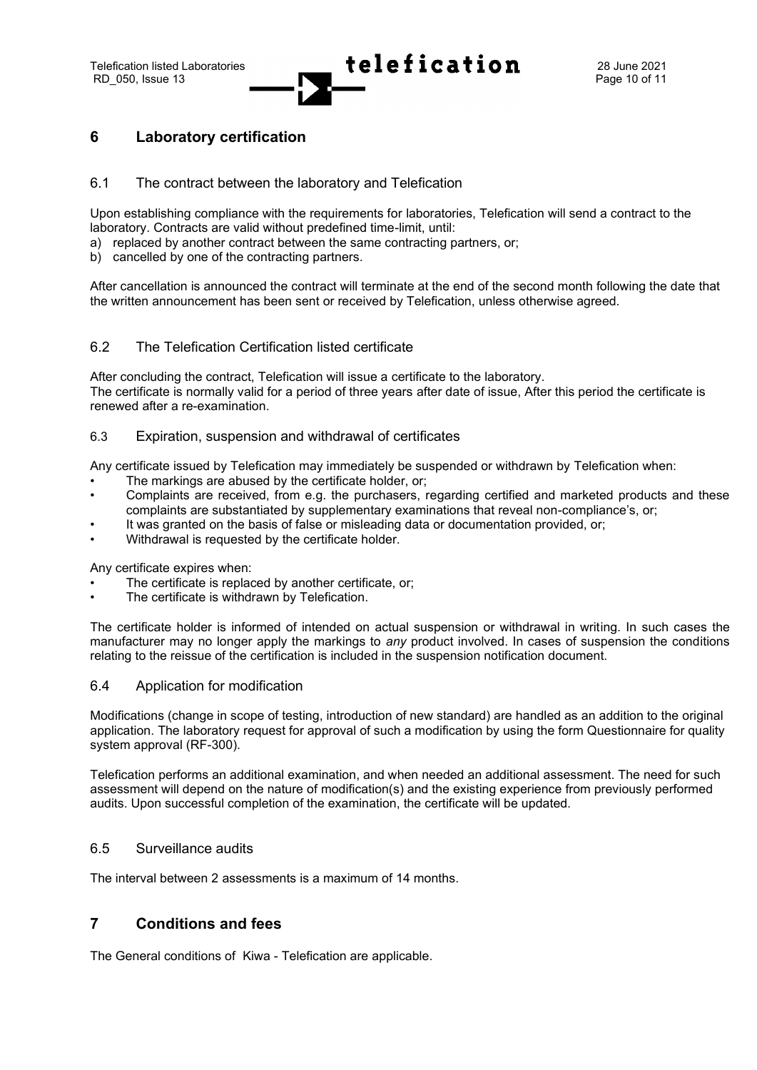## <span id="page-9-0"></span>**6 Laboratory certification**

#### <span id="page-9-1"></span>6.1 The contract between the laboratory and Telefication

Upon establishing compliance with the requirements for laboratories, Telefication will send a contract to the laboratory. Contracts are valid without predefined time-limit, until:

- a) replaced by another contract between the same contracting partners, or;
- b) cancelled by one of the contracting partners.

After cancellation is announced the contract will terminate at the end of the second month following the date that the written announcement has been sent or received by Telefication, unless otherwise agreed.

#### <span id="page-9-2"></span>6.2 The Telefication Certification listed certificate

After concluding the contract, Telefication will issue a certificate to the laboratory. The certificate is normally valid for a period of three years after date of issue, After this period the certificate is renewed after a re-examination.

#### <span id="page-9-3"></span>6.3 Expiration, suspension and withdrawal of certificates

Any certificate issued by Telefication may immediately be suspended or withdrawn by Telefication when:

- The markings are abused by the certificate holder, or;
- Complaints are received, from e.g. the purchasers, regarding certified and marketed products and these complaints are substantiated by supplementary examinations that reveal non-compliance's, or;
- It was granted on the basis of false or misleading data or documentation provided, or;
- Withdrawal is requested by the certificate holder.

Any certificate expires when:

- The certificate is replaced by another certificate, or;
- The certificate is withdrawn by Telefication.

The certificate holder is informed of intended on actual suspension or withdrawal in writing. In such cases the manufacturer may no longer apply the markings to *any* product involved. In cases of suspension the conditions relating to the reissue of the certification is included in the suspension notification document.

#### <span id="page-9-4"></span>6.4 Application for modification

Modifications (change in scope of testing, introduction of new standard) are handled as an addition to the original application. The laboratory request for approval of such a modification by using the form Questionnaire for quality system approval (RF-300).

Telefication performs an additional examination, and when needed an additional assessment. The need for such assessment will depend on the nature of modification(s) and the existing experience from previously performed audits. Upon successful completion of the examination, the certificate will be updated.

#### <span id="page-9-5"></span>6.5 Surveillance audits

The interval between 2 assessments is a maximum of 14 months.

## <span id="page-9-6"></span>**7 Conditions and fees**

The General conditions of Kiwa - Telefication are applicable.